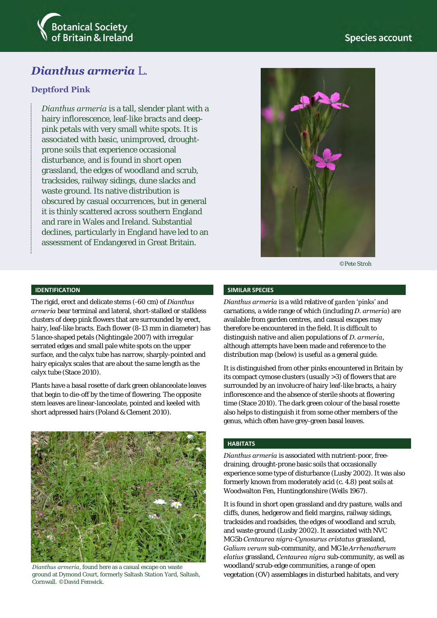

# *Dianthus armeria* L.

## **Deptford Pink**

*Dianthus armeria* is a tall, slender plant with a hairy inflorescence, leaf-like bracts and deeppink petals with very small white spots. It is associated with basic, unimproved, droughtprone soils that experience occasional disturbance, and is found in short open grassland, the edges of woodland and scrub, tracksides, railway sidings, dune slacks and waste ground. Its native distribution is obscured by casual occurrences, but in general it is thinly scattered across southern England and rare in Wales and Ireland. Substantial declines, particularly in England have led to an assessment of Endangered in Great Britain.



©Pete Stroh

#### **IDENTIFICATION**

The rigid, erect and delicate stems (-60 cm) of *Dianthus armeria* bear terminal and lateral, short-stalked or stalkless clusters of deep pink flowers that are surrounded by erect, hairy, leaf-like bracts. Each flower (8-13 mm in diameter) has 5 lance-shaped petals (Nightingale 2007) with irregular serrated edges and small pale white spots on the upper surface, and the calyx tube has narrow, sharply-pointed and hairy epicalyx scales that are about the same length as the calyx tube (Stace 2010).

Plants have a basal rosette of dark green oblanceolate leaves that begin to die-off by the time of flowering. The opposite stem leaves are linear-lanceolate, pointed and keeled with short adpressed hairs (Poland & Clement 2010).



*Dianthus armeria*, found here as a casual escape on waste ground at Dymond Court, formerly Saltash Station Yard, Saltash, Cornwall. ©David Fenwick.

#### **SIMILAR SPECIES**

*Dianthus armeria* is a wild relative of garden 'pinks' and carnations, a wide range of which (including *D. armeria*) are available from garden centres, and casual escapes may therefore be encountered in the field. It is difficult to distinguish native and alien populations of *D. armeria*, although attempts have been made and reference to the distribution map (below) is useful as a general guide.

It is distinguished from other pinks encountered in Britain by its compact cymose clusters (usually >3) of flowers that are surrounded by an involucre of hairy leaf-like bracts, a hairy inflorescence and the absence of sterile shoots at flowering time (Stace 2010). The dark green colour of the basal rosette also helps to distinguish it from some other members of the genus, which often have grey-green basal leaves.

#### **HABITATS**

*Dianthus armeria* is associated with nutrient-poor, freedraining, drought-prone basic soils that occasionally experience some type of disturbance (Lusby 2002). It was also formerly known from moderately acid (c. 4.8) peat soils at Woodwalton Fen, Huntingdonshire (Wells 1967).

It is found in short open grassland and dry pasture, walls and cliffs, dunes, hedgerow and field margins, railway sidings, tracksides and roadsides, the edges of woodland and scrub, and waste ground (Lusby 2002). It associated with NVC MG5b *Centaurea nigra*-*Cynosurus cristatus* grassland, *Galium verum* sub-community, and MG1e *Arrhenatherum elatius* grassland, *Centaurea nigra* sub-community, as well as woodland/scrub-edge communities, a range of open vegetation (OV) assemblages in disturbed habitats, and very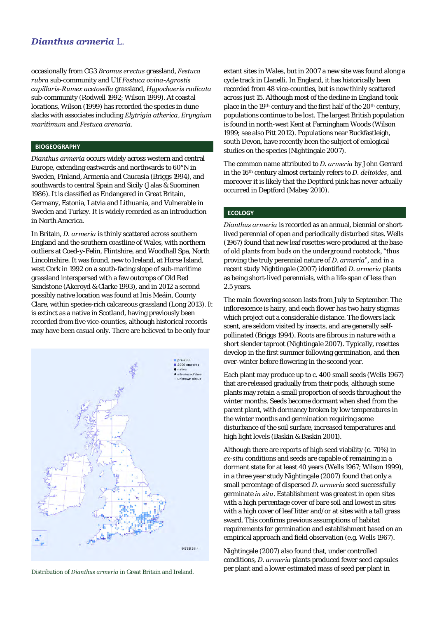# *Dianthus armeria* L.

occasionally from CG3 *Bromus erectus* grassland, *Festuca rubra* sub-community and U1f *Festuca ovina-Agrostis capillaris-Rumex acetosella* grassland, *Hypochaeris radicata* sub-community (Rodwell 1992; Wilson 1999). At coastal locations, Wilson (1999) has recorded the species in dune slacks with associates including *Elytrigia atherica*, *Eryngium maritimum* and *Festuca arenaria*.

### **BIOGEOGRAPHY**

*Dianthus armeria* occurs widely across western and central Europe, extending eastwards and northwards to 60°N in Sweden, Finland, Armenia and Caucasia (Briggs 1994), and southwards to central Spain and Sicily (Jalas & Suominen 1986). It is classified as Endangered in Great Britain, Germany, Estonia, Latvia and Lithuania, and Vulnerable in Sweden and Turkey. It is widely recorded as an introduction in North America.

In Britain, *D. armeria* is thinly scattered across southern England and the southern coastline of Wales, with northern outliers at Coed-y-Felin, Flintshire, and Woodhall Spa, North Lincolnshire. It was found, new to Ireland, at Horse Island, west Cork in 1992 on a south-facing slope of sub-maritime grassland interspersed with a few outcrops of Old Red Sandstone (Akeroyd & Clarke 1993), and in 2012 a second possibly native location was found at Inis Meáin, County Clare, within species-rich calcareous grassland (Long 2013). It is extinct as a native in Scotland, having previously been recorded from five vice-counties, although historical records may have been casual only. There are believed to be only four



extant sites in Wales, but in 2007 a new site was found along a cycle track in Llanelli. In England, it has historically been recorded from 48 vice-counties, but is now thinly scattered across just 15. Although most of the decline in England took place in the 19th century and the first half of the 20<sup>th</sup> century, populations continue to be lost. The largest British population is found in north-west Kent at Farningham Woods (Wilson 1999; see also Pitt 2012). Populations near Buckfastleigh, south Devon, have recently been the subject of ecological studies on the species (Nightingale 2007).

The common name attributed to *D. armeria* by John Gerrard in the 16th century almost certainly refers to *D. deltoides*, and moreover it is likely that the Deptford pink has never actually occurred in Deptford (Mabey 2010).

### **ECOLOGY**

*Dianthus armeria* is recorded as an annual, biennial or shortlived perennial of open and periodically disturbed sites. Wells (1967) found that new leaf rosettes were produced at the base of old plants from buds on the underground rootstock, "thus proving the truly perennial nature of *D. armeria*", and in a recent study Nightingale (2007) identified *D. armeria* plants as being short-lived perennials, with a life-span of less than 2.5 years.

The main flowering season lasts from July to September. The inflorescence is hairy, and each flower has two hairy stigmas which project out a considerable distance. The flowers lack scent, are seldom visited by insects, and are generally selfpollinated (Briggs 1994). Roots are fibrous in nature with a short slender taproot (Nightingale 2007). Typically, rosettes develop in the first summer following germination, and then over-winter before flowering in the second year.

Each plant may produce up to c. 400 small seeds (Wells 1967) that are released gradually from their pods, although some plants may retain a small proportion of seeds throughout the winter months. Seeds become dormant when shed from the parent plant, with dormancy broken by low temperatures in the winter months and germination requiring some disturbance of the soil surface, increased temperatures and high light levels (Baskin & Baskin 2001).

Although there are reports of high seed viability (c. 70%) in *ex-situ* conditions and seeds are capable of remaining in a dormant state for at least 40 years (Wells 1967; Wilson 1999), in a three year study Nightingale (2007) found that only a small percentage of dispersed *D. armeria* seed successfully germinate *in situ*. Establishment was greatest in open sites with a high percentage cover of bare soil and lowest in sites with a high cover of leaf litter and/or at sites with a tall grass sward. This confirms previous assumptions of habitat requirements for germination and establishment based on an empirical approach and field observation (e.g. Wells 1967).

Nightingale (2007) also found that, under controlled conditions, *D. armeria* plants produced fewer seed capsules per plant and a lower estimated mass of seed per plant in Distribution of *Dianthus armeria* in Great Britain and Ireland.